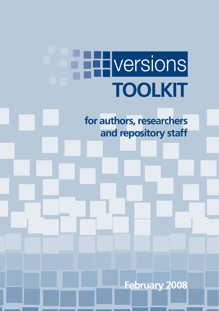# Hversions **TOOLKIT**

**for authors, researchers and repository staff**

**February 2008**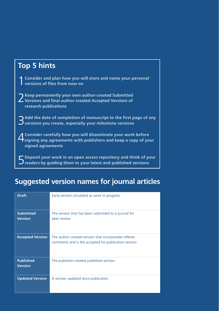| <b>Top 5 hints</b>                                                                                                                                      |
|---------------------------------------------------------------------------------------------------------------------------------------------------------|
| 1 Consider and plan how you will store and name your personal<br>1 versions of files from now on                                                        |
| 2 Keep permanently your own author-created Submitted<br>2 Versions and final author-created Accepted Versions of<br>research publications               |
| $\Im$ Add the date of completion of manuscript to the first page of any versions you create, especially your milestone versions                         |
| 4 Consider carefully how you will disseminate your work before<br>4 Signing any agreements with publishers and keep a copy of your<br>signed agreements |
| $\Box$ Deposit your work in an open access repository and think of your<br>$\mathbf{J}$ readers by quiding them to your latest and published versions   |

# **Suggested version names for journal articles**

| <b>Draft</b>                       | Early version circulated as work in progress                                                                 |
|------------------------------------|--------------------------------------------------------------------------------------------------------------|
| <b>Submitted</b><br><b>Version</b> | The version that has been submitted to a journal for<br>peer review                                          |
| <b>Accepted Version</b>            | The author-created version that incorporates referee<br>comments and is the accepted for publication version |
| <b>Published</b><br><b>Version</b> | The publisher-created published version                                                                      |
| <b>Updated Version</b>             | A version updated since publication                                                                          |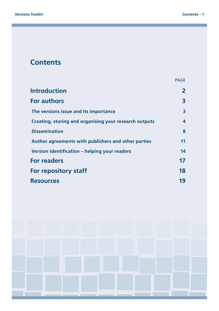# **Contents**

|                                                        | <b>PAGE</b> |
|--------------------------------------------------------|-------------|
| <b>Introduction</b>                                    |             |
| <b>For authors</b>                                     | 3           |
| The versions issue and its importance                  | 3           |
| Creating, storing and organising your research outputs | 4           |
| <b>Dissemination</b>                                   | 8           |
| Author agreements with publishers and other parties    | 11          |
| Version identification – helping your readers          | 14          |
| <b>For readers</b>                                     | 17          |
| <b>For repository staff</b>                            | 18          |
| <b>Resources</b>                                       | 19          |

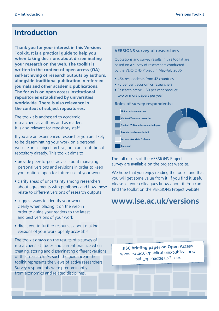# **Introduction**

**Thank you for your interest in this Versions Toolkit. It is a practical guide to help you when taking decisions about disseminating your research on the web. The toolkit is written in the context of open access (OA) self-archiving of research outputs by authors, alongside traditional publication in refereed journals and other academic publications. The focus is on open access institutional repositories established by universities worldwide. There is also relevance in the context of subject repositories.**

The toolkit is addressed to academic researchers as authors and as readers. It is also relevant for repository staff.

If you are an experienced researcher you are likely to be disseminating your work on a personal website, in a subject archive, or in an institutional repository already. This toolkit aims to:

- provide peer-to-peer advice about managing personal versions and revisions in order to keep your options open for future use of your work
- clarify areas of uncertainty among researchers about agreements with publishers and how these relate to different versions of research outputs
- suggest ways to identify your work clearly when placing it on the web in order to guide your readers to the latest and best versions of your work
- direct you to further resources about making versions of your work openly accessible

The toolkit draws on the results of a survey of researchers' attitudes and current practice when creating, storing and disseminating different versions of their research. As such the guidance in the toolkit represents the views of active researchers. Survey respondents were predominantly from economics and related disciplines.

#### **VERSIONS survey of researchers**

Quotations and survey results in this toolkit are based on a survey of researchers conducted by the VERSIONS Project in May-July 2006

- 464 respondents from 42 countries
- 75 per cent economics researchers
- Research active 50 per cent produce two or more papers per year

#### **Roles of survey respondents:**



The full results of the VERSIONS Project survey are available on the project website.

We hope that you enjoy reading the toolkit and that you will get some value from it. If you find it useful please let your colleagues know about it. You can find the toolkit on the VERSIONS Project website.

# **<www.lse.ac.uk/versions>**

**JISC briefing paper on Open Access**  www.jisc.ac.u[k/publications/publications/](http://www.jisc.ac.uk/publications/publications/pub_openaccess_v2.aspx) pu[b\\_openaccess\\_v2.aspx](http://www.jisc.ac.uk/publications/publications/pub_openaccess_v2.aspx)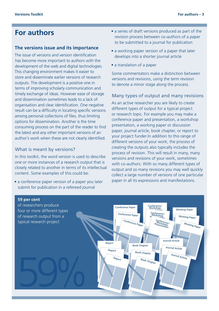# **For authors**

#### **The versions issue and its importance**

The issue of versions and version identification has become more important to authors with the development of the web and digital technologies. This changing environment makes it easier to store and disseminate earlier versions of research outputs. The development is a positive one in terms of improving scholarly communication and timely exchange of ideas. However ease of storage and dissemination sometimes leads to a lack of organisation and clear identification. One negative result can be a difficulty in locating specific versions among personal collections of files, thus limiting options for dissemination. Another is the time consuming process on the part of the reader to find the latest and any other important versions of an author's work when these are not clearly identified.

## What is meant by versions?

In this toolkit, the word version is used to describe one or more instances of a research output that is closely related to another in terms of its intellectual content. Some examples of this could be:

• a conference paper version of a paper you later submit for publication in a refereed journal

- a series of draft versions produced as part of the revision process between co-authors of a paper to be submitted to a journal for publication
- a working paper version of a paper that later develops into a shorter journal article
- a translation of a paper

Some commentators make a distinction between versions and revisions, using the term revision to denote a minor stage along the process.

#### Many types of output and many revisions

As an active researcher you are likely to create different types of output for a typical project or research topic. For example you may make a conference paper and presentation, a workshop presentation, a working paper or discussion paper, journal article, book chapter, or report to your project funder.In addition to this range of different versions of your work, the process of creating the outputs also typically includes the process of revision. This will result in many, many versions and revisions of your work, sometimes with co-authors. With so many different types of output and so many revisions you may well quickly collect a large number of versions of one particular paper in all its expressions and manifestations.

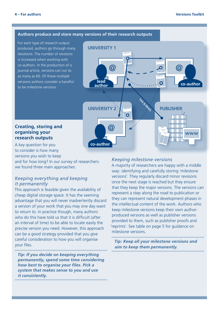#### **Authors produce and store many versions of their research outputs**

For each type of research output produced, authors go through many iterations. The number of revisions is increased when working with co-authors. In the production of a journal article, versions can run to as many as 60. Of these multiple versions authors consider a handful to be milestone versions.



# **Creating, storing and organising your research outputs**

A key question for you to consider is how many versions you wish to keep

and for how long? In our survey of researchers we found three main approaches:

# *Keeping everything and keeping it permanently*

This approach is feasible given the availability of cheap digital storage space. It has the seeming advantage that you will never inadvertently discard a version of your work that you may one day want to return to. In practice though, many authors who do this have told us that it is difficult (after an interval of time) to be able to locate easily the precise version you need. However, this approach can be a good strategy provided that you give careful consideration to how you will organise your files.

*Tip: If you decide on keeping everything permanently, spend some time considering how best to organise your files. Pick a system that makes sense to you and use it consistently.*

#### *Keeping milestone versions*

A majority of researchers are happy with a middle way: identifying and carefully storing 'milestone versions'. They regularly discard minor revisions once the next stage is reached but they ensure that they keep the major versions. The versions can represent a step along the road to publication or they can represent natural development phases in the intellectual content of the work. Authors who keep milestone versions keep their own authorproduced versions as well as publisher versions provided to them, such as publisher proofs and 'reprints'. See table on page 5 for guidance on milestone versions.

*Tip: Keep all your milestone versions and aim to keep them permanently.*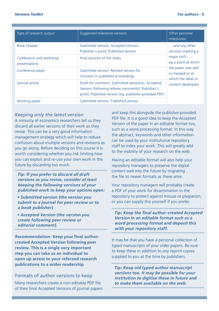| Type of research output                  | Suggested milestone versions                                                                                                                                    | Other personal<br>milestones                                                                                                                                    |
|------------------------------------------|-----------------------------------------------------------------------------------------------------------------------------------------------------------------|-----------------------------------------------------------------------------------------------------------------------------------------------------------------|
| Book chapter                             | Submitted version, Accepted Version,<br>Publisher's proof, Published version                                                                                    | and any other<br>versions marking a<br>major shift,<br>eg a point at which<br>the paper was split<br>or merged or at<br>which the ideas or<br>content developed |
| Conference and workshop<br>presentations | Final versions of the slides                                                                                                                                    |                                                                                                                                                                 |
| Conference paper                         | Submitted version, Revised version for<br>inclusion in published proceedings                                                                                    |                                                                                                                                                                 |
| Journal article                          | Draft for comment, Submitted version(s), Accepted<br>Version (following referee comments), Publisher's<br>proof, Published version (eq. publisher-provided PDF) |                                                                                                                                                                 |
| Working paper                            | Submitted version, Published version                                                                                                                            |                                                                                                                                                                 |

# *Keeping only the latest version*

A minority of economics researchers tell us they discard all earlier versions of their work as they revise. This can be a very good information management strategy which will help to reduce confusion about multiple versions and revisions as you go along. Before deciding on this course it is worth considering whether you risk limiting how you can exploit and re-use your own work in the future by discarding too much.

*Tip: If you prefer to discard all draft versions as you revise, consider at least keeping the following versions of your published work to keep your options open:* 

*• Submitted version (the version you submit to a journal for peer review or to a book publisher)* 

*• Accepted Version (the version you create following peer review or editorial comment).*

**Recommendation: Keep your final authorcreated Accepted Version following peer review. This is a single very important step you can take as an individual to open up access to your refereed research publications to a wider readership** 

## Formats of author versions to keep

Many researchers create a non-editable PDF file of their final Accepted Versions of journal papers and keep this alongside the publisher-provided PDF file. It is a good idea to keep the Accepted Version of the paper in an editable format too, such as a word processing format. In this way the abstract, keywords and other information can be used by your institutional repository staff to index your work. This will greatly add to the visibility of your research on the web.

Having an editable format will also help your repository managers to preserve the digital content well into the future by migrating the file to newer formats as these arise.

Your repository managers will probably create a PDF of your work for dissemination in the repository to protect against misuse or plagiarism, or you can supply this yourself if you prefer.

*Tip: Keep the final author-created Accepted Version in an editable format such as a word processing format and deposit this with your repository staff.* 

It may be that you have a personal collection of typed manuscripts of your older papers. Be sure to keep these in addition to any reprint copies supplied to you at the time by publishers.

*Tip: Keep old typed author manuscript versions too. It may be possible for your institution to digitise these in future and to make them available on the web.*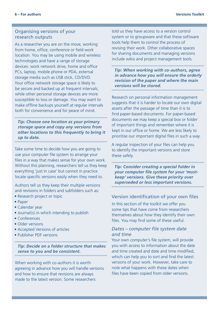## Organising versions of your research outputs

As a researcher you are on the move, working from home, office, conference or field work location. You may be using mobile and wireless technologies and have a range of storage devices: work network drive, home and office PCs, laptop, mobile phone or PDA, external storage media such as USB stick, CD/DVD. Your office network storage space is likely to be secure and backed up at frequent intervals, while other personal storage devices are more susceptible to loss or damage. You may want to make offline backups yourself at regular intervals both for convenience and for peace of mind.

*Tip: Choose one location as your primary storage space and copy any versions from other locations to this frequently to bring it up to date.* 

Take some time to decide how you are going to use your computer file system to arrange your files in a way that makes sense for your own work. Without this planning, researchers tell us they keep everything 'just in case' but cannot in practice locate specific versions easily when they need to.

Authors tell us they keep their multiple versions and revisions in folders and subfolders such as:

- Research project or topic
- Paper
- Calendar year
- Journal(s) in which intending to publish
- Conferences
- Older versions
- Accepted Versions of articles
- Publisher PDF versions

*Tip: Decide on a folder structure that makes sense to you and be consistent.*

When working with co-authors it is worth agreeing in advance how you will handle versions and how to ensure that revisions are always made to the latest version. Some researchers

told us they have access to a version control system or to groupware and that these software tools help them to control the process of revising their work. Other collaborative spaces for sharing documents and managing versions include wikis and project management tools.

*Tip: When working with co-authors, agree in advance how you will ensure the orderly revision of the paper and where the main versions will be stored.*

Research on personal information management suggests that it is harder to locate our own digital assets after the passage of time than it is to find paper-based documents. For paper-based documents we may keep a special box or folder of important things and remember where it is kept in our office or home. We are less likely to prioritise our important digital files in such a way.

A regular inspection of your files can help you to identify the important versions and store these safely.

*Tip: Consider creating a special folder in your computer file system for your 'mustkeep' versions. Give these priority over superseded or less important versions.*

# Version identification of your own files

In this section of the toolkit we offer you some tips that have come from researchers themselves about how they identify their own files. You may find some of these useful.

# *Dates – computer file system date and time*

Your own computer's file system, will provide you with access to information about the date and time created and date and time modified, which can help you to sort and find the latest versions of your work. However, take care to note what happens with these dates when files have been copied from older versions.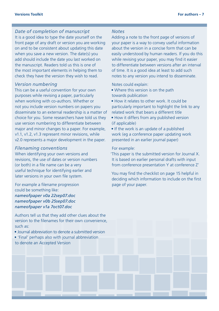## *Date of completion of manuscript*

It is a good idea to type the date yourself on the front page of any draft or version you are working on and to be consistent about updating this date when you save a new version. The date(s) you add should include the date you last worked on the manuscript. Readers told us this is one of the most important elements in helping them to check they have the version they wish to read.

#### *Version numbering*

This can be a useful convention for your own purposes while revising a paper, particularly when working with co-authors. Whether or not you include version numbers on papers you disseminate to an external readership is a matter of choice for you. Some researchers have told us they use version numbering to differentiate between major and minor changes to a paper. For example, v1.1, v1.2, v1.3 represent minor revisions, while v2.0 represents a major development in the paper.

#### *Filenaming conventions*

When identifying your own versions and revisions, the use of dates or version numbers (or both) in a file name can be a very useful technique for identifying earlier and later versions in your own file system.

For example a filename progression could be something like: *nameofpaper v0a 22sep07.doc nameofpaper v0b 25sep07.doc nameofpaper v1a 7oct07.doc*

Authors tell us that they add other clues about the version to the filenames for their own convenience, such as:

- Journal abbreviation to denote a submitted version
- 'Final' perhaps also with journal abbreviation to denote an Accepted Version

#### *Notes*

Adding a note to the front page of versions of your paper is a way to convey useful information about the version in a concise form that can be easily understood by human readers. If you do this while revising your paper, you may find it easier to differentiate between versions after an interval of time. It is a good idea at least to add such notes to any version you intend to disseminate.

Notes could explain:

- Where this version is on the path towards publication
- How it relates to other work. It could be particularly important to highlight the link to any related work that bears a different title
- How it differs from any published version  $(if$  applicable)
- If the work is an update of a published work (eg a conference paper updating work presented in an earlier journal paper)

For example:

'This paper is the submitted version for Journal X. It is based on earlier personal drafts with input from conference presentation Y at conference Z'

You may find the checklist on page 15 helpful in deciding which information to include on the first page of your paper.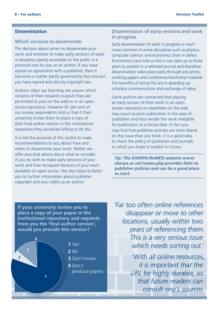# **Dissemination**

# Which versions to disseminate

The decision about when to disseminate your work and whether to make early versions of work in progress openly accessible to the public is a personal one for you as an author. If you have signed an agreement with a publisher, then it becomes a matter partly governed by the contract you have signed and also by copyright law.

university invites them to place a copy of Authors often say that they are unsure which versions of their research outputs they are permitted to post on the web or in an open access repository. However 81 per cent of our survey respondents told us that if their their final author version in the institutional repository they would be willing to do this.

work and final Accepted Versions of your work when to disseminate your work. Rather we copyright and your rights as an author. **Example 20** Knowing whether that could all of the versions **1 1 2 3 Available on open access. We also hope to direct the star** It is not the purpose of this toolkit to make recommendations to you about how and offer practical advice about what to consider if you do wish to make early versions of your you to further information about publisher

# Dissemination of early versions and work in progress

Early dissemination of work in progress is much more common in some disciplines such as physics, computer science, and economics than in others. Economists have told us that it can take up to three years to publish in a refereed journal and therefore dissemination takes place early through pre-prints, working papers and conference/workshop material. The benefits of doing this are in speeding up scholarly communication and exchange of ideas.

Some authors are concerned that placing an early version of their work in an open access repository or elsewhere on the web may count as prior publication in the eyes of publishers and thus render the work ineligible for publication at a future date. In fact you may find that publisher policies are more liberal on this issue than you think. It is a good idea to check the policy of publishers and journals in which you hope to publish in future.

*Tip: The SHERPA/RoMEO website [www.](www.sherpa.ac.uk/romeo.php) [sherpa.ac.uk/romeo.php](www.sherpa.ac.uk/romeo.php) provides links to publisher policies and can be a good place to start.*

**If your university invites you to place a copy of your paper in the institutional repository and requests from you the 'final author version', would you provide this version?**



*'Far too often online references disappear or move to other locations, usually within two years of referencing them. This is a very serious issue which needs sorting out.'*

> *'With all online resources, it is important that the URL be highly durable, so that future readers can consult one's sources.*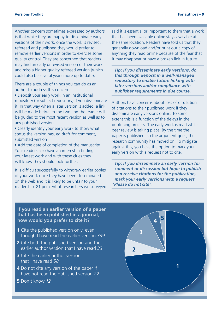Another concern sometimes expressed by authors is that while they are happy to disseminate early versions of their work, once the work is revised, refereed and published they would prefer to remove earlier versions in order to exercise some quality control. They are concerned that readers may find an early unrevised version of their work and miss a higher quality refereed version (which could also be several years more up to date).

There are a couple of things you can do as an author to address this concern:

• Deposit your early work in an institutional repository (or subject repository) if you disseminate it. In that way when a later version is added, a link will be made between the two and the reader will be guided to the most recent version as well as to any published versions

• Clearly identify your early work to show what status the version has, eg draft for comment, submitted version

• Add the date of completion of the manuscript Your readers also have an interest in finding your latest work and with these clues they will know they should look further.

It is difficult successfully to withdraw earlier copies of your work once they have been disseminated on the web and it is likely to be unfair to your readership. 81 per cent of researchers we surveyed said it is essential or important to them that a work that has been available online stays available at the same location. Readers have told us that they generally download and/or print out a copy of anything they read online because of the fear that it may disappear or have a broken link in future.

*Tip: If you disseminate early versions, do this through deposit in a well-managed repository to enable future linking with later versions and/or compliance with publisher requirements in due course.* 

Authors have concerns about loss of or dilution of citations to their published work if they disseminate early versions online. To some extent this is a function of the delays in the publishing process. The early work is read while peer review is taking place. By the time the paper is published, so the argument goes, the research community has moved on. To mitigate against this, you have the option to mark your early version with a request not to cite.

*Tip: If you disseminate an early version for comment or discussion but hope to publish and receive citations for the publication, mark your early versions with a request 'Please do not cite'.*

**If you read an earlier version of a paper that has been published in a journal, how would you prefer to cite it?**

- **1** Cite the published version only, even though I have read the earlier version *339*
- **2** Cite both the published version and the earlier author version that I have read *33*
- **3** Cite the earlier author version that I have read *58*
- **4** Do not cite any version of the paper if I have not read the published version *22*
- **5** Don't know *12*

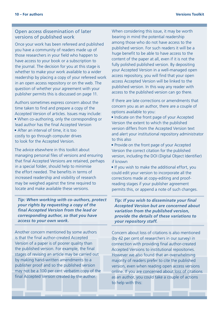# Open access dissemination of later versions of published work

Once your work has been refereed and published you have a community of readers made up of those researchers in your field who happen to have access to your book or a subscription to the journal. The decision for you at this stage is whether to make your work available to a wider readership by placing a copy of your refereed work in an open access repository or on the web. The question of whether your agreement with your publisher permits this is discussed on page 11.

Authors sometimes express concern about the time taken to find and prepare a copy of the Accepted Version of articles. Issues may include: • When co-authoring, only the corresponding or lead author has the final Accepted Version • After an interval of time, it is too costly to go through computer drives to look for the Accepted Version.

The advice elsewhere in this toolkit about managing personal files of versions and ensuring that final Accepted Versions are retained, perhaps in a special folder, should help to minimise the effort needed. The benefits in terms of increased readership and visibility of research may be weighed against the time required to locate and make available these versions.

*Tip: When working with co-authors, protect your rights by requesting a copy of the final Accepted Version from the lead or corresponding author, so that you have access to your own work.* 

Another concern mentioned by some authors is that the final author-created Accepted Version of a paper is of poorer quality than the published version. For example, the final stages of revising an article may be carried out by making hand-written amendments to a publisher proof and so the published version may not be a 100 per cent verbatim copy of the final Accepted Version created by the author.

When considering this issue, it may be worth bearing in mind the potential readership among those who do not have access to the published version. For such readers it will be a huge benefit to be able to have access to the content of the paper at all, even if it is not the fully polished published version. By depositing your Accepted Version in a well-managed open access repository, you will find that your open access Accepted Version will be linked to the published version. In this way any reader with access to the published version can go there.

If there are late corrections or amendments that concern you as an author, there are a couple of options available to you:

- Indicate on the front page of your Accepted Version the extent to which the published version differs from the Accepted Version text and alert your institutional repository administrator to this also
- Provide on the front page of your Accepted Version the correct citation for the published version, including the DOI (Digital Object Identifier) if known
- If you wish to make the additional effort, you could edit your version to incorporate all the corrections made at copy-editing and proofreading stages if your publisher agreement permits this, or append a note of such changes.

*Tip: If you wish to disseminate your final Accepted Version but are concerned about variation from the published version, provide the details of these variations to your repository staff.*

Concern about loss of citations is also mentioned (by 42 per cent of researchers in our survey) in connection with providing final author-created Accepted Versions to institutional repositories. However we also found that an overwhelming majority of readers prefer to cite the published version, even when reading open access versions online. If you are concerned about loss of citations as an author, you could take a couple of actions to help with this: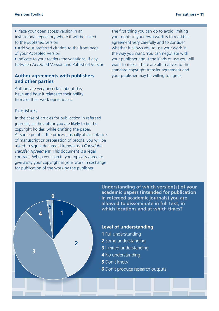#### **Versions Toolkit For authors – 11**

- Place your open access version in an institutional repository where it will be linked to the published version
- Add your preferred citation to the front page of your Accepted Version

• Indicate to your readers the variations, if any between Accepted Version and Published Version.

#### **Author agreements with publishers and other parties**

**1 2 3 4 5 6 7** issue and how it relates to their ability Authors are very uncertain about this to make their work open access.

#### **5 Fublishers Exercise that conditions**

**6** Time taken to look at different versions In the case of articles for publication in refereed journals, as the author you are likely to be the copyright holder, while drafting the paper. At some point in the process, usually at acceptance of manuscript or preparation of proofs, you will be asked to sign a document known as a *Copyright Transfer Agreement*. This document is a legal contract. When you sign it, you typically agree to give away your copyright in your work in exchange for publication of the work by the publisher.

The first thing you can do to avoid limiting your rights in your own work is to read this agreement very carefully and to consider whether it allows you to use your work in the way you want. You can negotiate with your publisher about the kinds of use you will want to make. There are alternatives to the standard copyright transfer agreement and your publisher may be willing to agree.

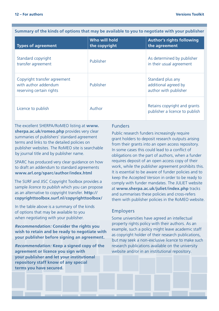**Summary of the kinds of options that may be available to you to negotiate with your publisher**

| <b>Types of agreement</b>                                                        | Who will hold<br>the copyright | <b>Author's rights following</b><br>the agreement                  |
|----------------------------------------------------------------------------------|--------------------------------|--------------------------------------------------------------------|
| Standard copyright<br>transfer agreement                                         | Publisher                      | As determined by publisher<br>in their usual agreement             |
| Copyright transfer agreement<br>with author addendum<br>reserving certain rights | Publisher                      | Standard plus any<br>additional agreed by<br>author with publisher |
| Licence to publish                                                               | Author                         | Retains copyright and grants<br>publisher a licence to publish     |

The excellent SHERPA/RoMEO listing at **[www.](www.sherpa.ac.uk/romeo.php) [sherpa.ac.uk/romeo.php](www.sherpa.ac.uk/romeo.php)** provides very clear summaries of publishers' standard agreement terms and links to the detailed policies on publisher websites. The RoMEO site is searchable by journal title and by publisher name.

SPARC has produced very clear guidance on how to draft an addendum to standard agreements **<www.arl.org/sparc/author/index.html>**

The SURF and JISC Copyright Toolbox provides a sample *licence to publish* which you can propose as an alternative to copyright transfer. **[http://](http://copyrighttoolbox.surf.nl/copyrighttoolbox) [copyrighttoolbox.surf.nl/copyrighttoolbox](http://copyrighttoolbox.surf.nl/copyrighttoolbox)/**

In the table above is a summary of the kinds of options that may be available to you when negotiating with your publisher.

*Recommendation:* **Consider the rights you wish to retain and be ready to negotiate with your publisher before signing an agreement.**

*Recommendation:* **Keep a signed copy of the agreement or licence you sign with your publisher and let your institutional repository staff know of any special terms you have secured.** 

# Funders

Public research funders increasingly require grant holders to deposit research outputs arising from their grants into an open access repository. In some cases this could lead to a conflict of obligations on the part of authors, when a funder requires deposit of an open access copy of their work, while the publisher agreement prohibits this. It is essential to be aware of funder policies and to keep the Accepted Version in order to be ready to comply with funder mandates. The JULIET website at **<www.sherpa.ac.uk/juliet/index.php>** tracks and summarises these policies and cross-refers them with publisher policies in the RoMEO website.

#### Employers

Some universities have agreed an intellectual property rights policy with their authors. As an example, such a policy might leave academic staff as copyright holder of their research publications, but may seek a non-exclusive licence to make such research publications available on the university website and/or in an institutional repository.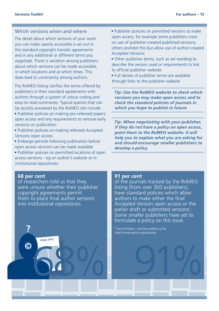# Which versions when and where

The detail about which versions of your work you can make openly accessible is set out in the standard copyright transfer agreements and in any additional or different terms you negotiate. There is variation among publishers about which versions can be made accessible, in which locations and at which times. This does lead to uncertainty among authors.

The RoMEO listing clarifies the terms offered by publishers in their standard agreements with authors through a system of colour coding and easy-to-read summaries. Typical queries that can be quickly answered by the RoMEO site include:

- Publisher policies on making pre-refereed papers open access and any requirements to remove early versions on publication
- Publisher policies on making refereed Accepted Versions open access
- Embargo periods following publication before open access versions can be made available
- Publisher policies on permitted locations of open access versions – eg on author's website or in institutional repositories
- Publisher policies on permitted versions to make open access; for example some publishers insist on use of publisher-created published versions; others prohibit this but allow use of author-created Accepted Versions
- Other publisher terms, such as set wording to describe the version used or requirements to link to official publisher website
- Full details of publisher terms are available through links to the publisher website

*Tip: Use the RoMEO website to check which versions you may make open access and to check the standard policies of journals in which you hope to publish in future*

*Tip: When negotiating with your publisher, if they do not have a policy on open access, point them to the RoMEO website. It will help you to explain what you are asking for and should encourage smaller publishers to develop a policy.* 

#### **68 per cent**

**?** 

**©**

of researchers told us that they were unsure whether their publisher copyright agreements permit them to place final author versions into institutional repositories.

68%

**FINAL.DOC**

#### **91 per cent**

of the journals tracked by the RoMEO listing (from over 300 publishers), have standard policies which allow authors to make either the final Accepted Version open access or the earlier draft or submitted versions<sup>1</sup>. Some smaller publishers have yet to formulate a policy on this issue.

91%

**1** Journal Policies – summary statistics so far <http://romeo.eprints.org/stats.php>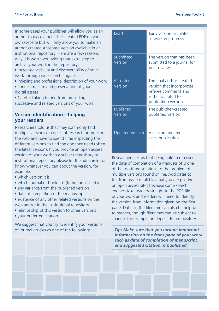In some cases your publisher will allow you as an author to place a publisher-created PDF on your own website but will only allow you to make an author-created Accepted Version available in an institutional repository. Here are a few reasons why it is worth you taking that extra step to archive your work in the repository:

- Increased visibility and discoverability of your work through web search engines
- Indexing and professional description of your work
- Long-term care and preservation of your digital assets

• Careful linking to and from preceding, successive and related versions of your work

# **Version identification – helping your readers**

Researchers told us that they commonly find multiple versions or copies of research outputs on the web and have to spend time inspecting the different versions to find the one they need (often the latest version). If you provide an open access version of your work to a subject repository or institutional repository please let the administrator know whatever you can about the version, for example:

- which version it is
- which journal or book it is (to be) published in
- any variance from the published version
- date of completion of the manuscript
- existence of any other related versions on the web and/or in the institutional repository
- relationship of this version to other versions
- your preferred citation

We suggest that you try to identify your versions of journal articles as one of the following:

| Draft                  | Early version circulated<br>as work in progress                                                                             |
|------------------------|-----------------------------------------------------------------------------------------------------------------------------|
| Submitted<br>Version   | The version that has been<br>submitted to a journal for<br>peer review                                                      |
| Accepted<br>Version    | The final author-created<br>version that incorporates<br>referee comments and<br>is the accepted for<br>publication version |
| Published<br>Version   | The publisher-created<br>published version                                                                                  |
| <b>Updated Version</b> | A version updated<br>since publication                                                                                      |

Researchers tell us that being able to discover the date of completion of a manuscript is one of the top three solutions to the problem of multiple versions found online. Add dates to the front page of all files that you are posting on open access sites because some search engines take readers straight to the PDF file of your work and readers will need to identify the version from information given on the first page. Dates in the filename can also be helpful to readers, though filenames can be subject to change, for example on deposit to a repository.

*Tip: Make sure that you include important information on the front page of your work such as date of completion of manuscript and suggested citation, if published.*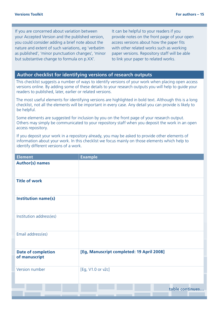If you are concerned about variation between your Accepted Version and the published version, you could consider adding a brief note about the nature and extent of such variations, eg 'verbatim as published', 'minor punctuation changes', 'minor but substantive change to formula on p.XX'.

It can be helpful to your readers if you provide notes on the front page of your open access versions about how the paper fits with other related works such as working paper versions. Repository staff will be able to link your paper to related works.

# **Author checklist for identifying versions of research outputs**

This checklist suggests a number of ways to identify versions of your work when placing open access versions online. By adding some of these details to your research outputs you will help to guide your readers to published, later, earlier or related versions.

The most useful elements for identifying versions are highlighted in bold text. Although this is a long checklist, not all the elements will be important in every case. Any detail you can provide is likely to be helpful.

Some elements are suggested for inclusion by you on the front page of your research output. Others may simply be communicated to your repository staff when you deposit the work in an open access repository.

If you deposit your work in a repository already, you may be asked to provide other elements of information about your work. In this checklist we focus mainly on those elements which help to identify different versions of a work.

| <b>Element</b>                             | <b>Example</b>                            |
|--------------------------------------------|-------------------------------------------|
| <b>Author(s) names</b>                     |                                           |
| <b>Title of work</b>                       |                                           |
| Institution name(s)                        |                                           |
| Institution address(es)                    |                                           |
| Email address(es)                          |                                           |
| <b>Date of completion</b><br>of manuscript | [Eg, Manuscript completed: 19 April 2008] |
| Version number                             | [Eg, V1.0 or v2c]                         |
|                                            | table continues                           |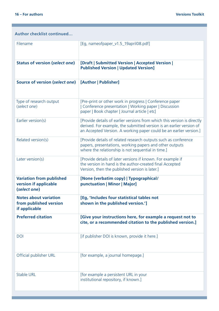# **Author checklist continued…**

| Filename                                                                 | [Eq, nameofpaper_v1.5_19april08.pdf]                                                                                                                                                                                   |
|--------------------------------------------------------------------------|------------------------------------------------------------------------------------------------------------------------------------------------------------------------------------------------------------------------|
| <b>Status of version (select one)</b>                                    | [Draft   Submitted Version   Accepted Version  <br><b>Published Version   Updated Version]</b>                                                                                                                         |
| Source of version (select one)                                           | [Author   Publisher]                                                                                                                                                                                                   |
| Type of research output<br>(select one)                                  | [Pre-print or other work in progress   Conference paper<br>  Conference presentation   Working paper   Discussion<br>paper   Book chapter   Journal article   etc]                                                     |
| Earlier version(s)                                                       | [Provide details of earlier versions from which this version is directly<br>derived. For example, the submitted version is an earlier version of<br>an Accepted Version. A working paper could be an earlier version.] |
| Related version(s)                                                       | [Provide details of related research outputs such as conference<br>papers, presentations, working papers and other outputs<br>where the relationship is not sequential in time.]                                       |
| Later version(s)                                                         | [Provide details of later versions if known. For example if<br>the version in hand is the author-created final Accepted<br>Version, then the published version is later.]                                              |
| <b>Variation from published</b><br>version if applicable<br>(select one) | [None (verbatim copy)   Typographical/<br>punctuation   Minor   Major]                                                                                                                                                 |
| <b>Notes about variation</b><br>from published version<br>if applicable  | [Eg, 'Includes four statistical tables not<br>shown in the published version.']                                                                                                                                        |
| <b>Preferred citation</b>                                                | [Give your instructions here, for example a request not to<br>cite, or a recommended citation to the published version.]                                                                                               |
| <b>DOI</b>                                                               | [if publisher DOI is known, provide it here.]                                                                                                                                                                          |
| Official publisher URL                                                   | [for example, a journal homepage.]                                                                                                                                                                                     |
| Stable URL                                                               | [for example a persistent URL in your<br>institutional repository, if known.]                                                                                                                                          |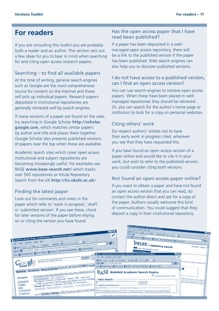# **For readers**

If you are consulting this toolkit you are probably both a reader and an author. This section sets out a few ideas for you to bear in mind when searching for and citing open access research papers.

## Searching – to find all available papers

At the time of writing, general search engines such as Google are the most comprehensive source for content on the Internet and these will pick up individual papers. Research papers deposited in institutional repositories are generally retrieved well by search engines.

If many versions of a paper are found on the web, try searching in Google Scholar **[http://scholar.](http://scholar.google.com) [google.com](http://scholar.google.com)**, which matches similar papers by author and title and places them together. Google Scholar also presents published versions of papers near the top when these are available.

Academic search sites which cover open access institutional and subject repositories are becoming increasingly useful. For examples see BASE **ww[w.base-search.net/](http://www.base-search.net/)** which tracks over 500 repositories or Intute Repository Search from the UK **<http://irs.ukoln.ac.uk/>**

## Finding the latest paper

Look out for comments and notes in the paper which refer to 'work in progress', 'draft' or 'submitted version'. If you see these, check for later versions of the paper before relying on or citing the version you have found.

## Has the open access paper that I have read been published?

If a paper has been deposited in a wellmanaged open access repository, there will be a link to the published version if the paper has been published. Web search engines can also help you to discover published versions.

# I do not have access to a published version, can I find an open access version?

You can use search engines to retrieve open access papers. When these have been placed in wellmanaged repositories they should be retrieved. Or, you can search for the author's home page or institution to look for a copy on personal websites.

# Citing others' work

Do respect authors' wishes not to have their early work in progress cited, wherever you see that they have requested this.

If you have found an open access version of a paper online and would like to cite it in your work, but wish to refer to the published version, you could consider citing both versions.

## Not found an open access paper online?

If you want to obtain a paper and have not found an open access version that you can read, do contact the author direct and ask for a copy of the paper. Authors usually welcome this kind of communication. You could suggest that they deposit a copy in their institutional repository.

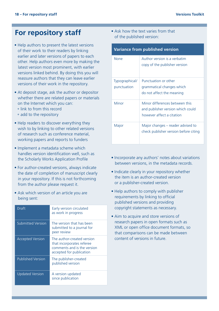# **For repository staff**

- Help authors to present the latest versions of their work to their readers by linking earlier and later versions of papers to each other. Help authors even more by making the latest version most prominent, with earlier versions linked behind. By doing this you will reassure authors that they can leave earlier versions of their work in the repository.
- At deposit stage, ask the author or depositor whether there are related papers or materials on the Internet which you can:
	- link to from this record
	- add to the repository
- Help readers to discover everything they wish to by linking to other related versions of research such as conference material, working papers and reports to funders
- Implement a metadata scheme which handles version identification well, such as the Scholarly Works Application Profile
- For author-created versions, always indicate the date of completion of manuscript clearly in your repository. If this is not forthcoming from the author please request it.
- Ask which version of an article you are being sent:

| Draft                    | Early version circulated<br>as work in progress                                                                    |
|--------------------------|--------------------------------------------------------------------------------------------------------------------|
| <b>Submitted Version</b> | The version that has been<br>submitted to a journal for<br>peer review                                             |
| <b>Accepted Version</b>  | The author-created version<br>that incorporates referee<br>comments and is the version<br>accepted for publication |
| <b>Published Version</b> | The publisher-created<br>published version                                                                         |
| <b>Updated Version</b>   | A version updated<br>since publication                                                                             |

• Ask how the text varies from that of the published version:

| <b>Variance from published version</b> |                                                                                                  |  |
|----------------------------------------|--------------------------------------------------------------------------------------------------|--|
| None                                   | Author version is a verbatim<br>copy of the publisher version                                    |  |
| Typographical/<br>punctuation          | Punctuation or other<br>grammatical changes which<br>do not affect the meaning                   |  |
| Minor                                  | Minor differences between this<br>and publisher version which could<br>however affect a citation |  |
| Major                                  | Major changes – reader advised to<br>check publisher version before citing                       |  |

- Incorporate any authors' notes about variations between versions, in the metadata records.
- Indicate clearly in your repository whether the item is an author-created version or a publisher-created version.
- Help authors to comply with publisher requirements by linking to official published versions and providing copyright statements as necessary.
- Aim to acquire and store versions of research papers in open formats such as XML or open office document formats, so that comparisons can be made between content of versions in future.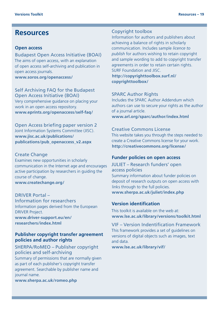# **Resources**

#### **Open access**

Budapest Open Access Initiative (BOAI) The aims of open access, with an explanation of open access self-archiving and publication in open access journals.

**www[.soros.org/openaccess/](http://www.soros.org/openaccess/)** 

Self Archiving FAQ for the Budapest Open Access Initiative (BOAI) Very comprehensive guidance on placing your work in an open access repository. **www[.eprints.org/openaccess/self-faq/](http://www.eprints.org/openaccess/self-faq/)**

Open Access briefing paper version 2 Joint Information Systems Committee (JISC). **www[.jisc.ac.uk/publications/](http://www.jisc.ac.uk/publications/publications/pub_openaccess_v2.aspx) [publications/pub\\_openaccess\\_v2.aspx](http://www.jisc.ac.uk/publications/publications/pub_openaccess_v2.aspx)**

# Create Change Examines new opportunities in scholarly communication in the Internet age and encourages active participation by researchers in guiding the course of change. **www[.createchange.org/](http://www.createchange.org/)**

DRIVER Portal – Information for researchers Information pages derived from the European DRIVER Project. **www[.driver-support.eu/en/](http://www.driver-support.eu/en/researchers/index.html) [researchers/index.html](http://www.driver-support.eu/en/researchers/index.html)** 

# **Publisher copyright transfer agreement policies and author rights**

SHERPA/RoMEO – Publisher copyright policies and self-archiving Summary of permissions that are normally given as part of each publisher's copyright transfer agreement. Searchable by publisher name and journal name.

**www.sherpa.ac.uk/romeo.php** 

#### Copyright toolbox

Information for authors and publishers about achieving a balance of rights in scholarly communication. Includes sample *licence to publish* for authors wishing to retain copyright and sample wording to add to copyright transfer agreements in order to retain certain rights. SURF Foundation and JISC.

**[http://copyrighttoolbox.surf.nl/](http://copyrighttoolbox.surf.nl/copyrighttoolbox/) [copyrighttoolbox/](http://copyrighttoolbox.surf.nl/copyrighttoolbox/)**

#### SPARC Author Rights

Includes the SPARC Author Addendum which authors can use to secure your rights as the author of a journal article. **ww[w.arl.org/sparc/author/index.html](http://www.arl.org/sparc/author/index.html)**

#### Creative Commons License

This website takes you through the steps needed to create a Creative Commons license for your work. **<http://creativecommons.org/license/>**

# **Funder policies on open access**

JULIET – Research funders' open access policies Summary information about funder policies on deposit of research outputs on open access with links through to the full policies. **ww[w.sherpa.ac.uk/juliet/index.php](http://www.sherpa.ac.uk/juliet/index.php)** 

# **Version identification**

This toolkit is available on the web at: **ww[w.lse.ac.uk/library/versions/toolkit.html](http://www.lse.ac.uk/library/versions/toolkit.html)**

VIF – Version Indentification Framework This framework provides a set of guidelines on versions of digital objects such as images, text and data.

**[www.lse.ac.uk/library/vif/](www.lse.ac.uk/library/vif)**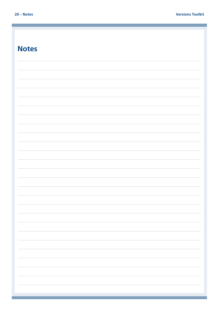| <b>Notes</b> |  |
|--------------|--|
|              |  |
|              |  |
|              |  |
|              |  |
|              |  |
|              |  |
|              |  |
|              |  |
|              |  |
|              |  |
|              |  |
|              |  |
|              |  |
|              |  |
|              |  |
|              |  |
|              |  |
|              |  |
|              |  |
|              |  |
|              |  |
|              |  |
|              |  |
|              |  |
|              |  |
|              |  |
|              |  |
|              |  |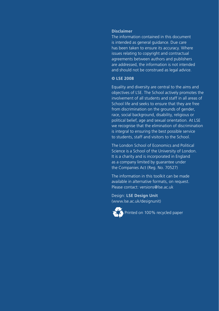#### **Disclaimer**

The information contained in this document is intended as general guidance. Due care has been taken to ensure its accuracy. Where issues relating to copyright and contractual agreements between authors and publishers are addressed, the information is not intended and should not be construed as legal advice.

## **© LSE 2008**

Equality and diversity are central to the aims and objectives of LSE. The School actively promotes the involvement of all students and staff in all areas of School life and seeks to ensure that they are free from discrimination on the grounds of gender, race, social background, disability, religious or political belief, age and sexual orientation. At LSE we recognise that the elimination of discrimination is integral to ensuring the best possible service to students, staff and visitors to the School.

The London School of Economics and Political Science is a School of the University of London. It is a charity and is incorporated in England as a company limited by guarantee under the Companies Act (Reg. No. 70527)

The information in this toolkit can be made available in alternative formats, on request. Please contact: versions@lse.ac.uk

Design: **LSE Design Unit** (www.lse.ac.uk/designunit)



Printed on 100% recycled paper